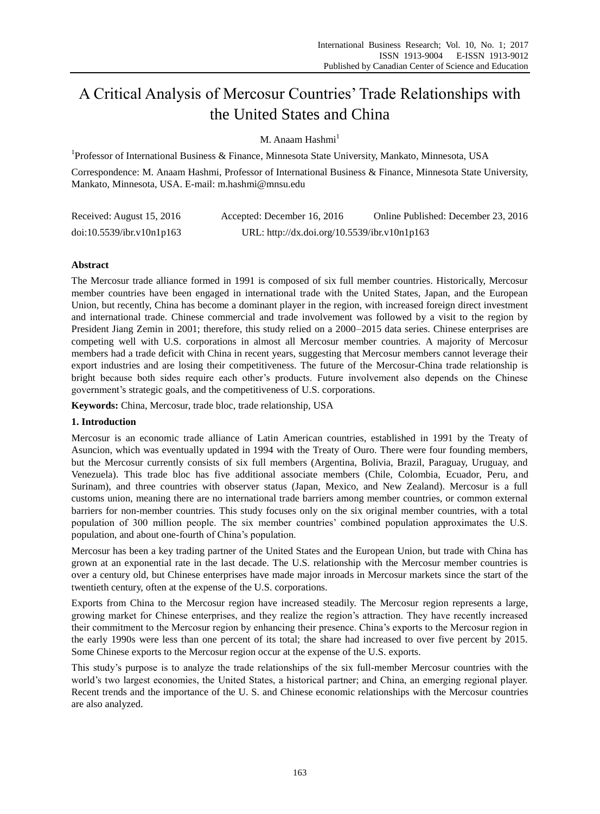# A Critical Analysis of Mercosur Countries' Trade Relationships with the United States and China

# $M.$  Anaam Hashmi $<sup>1</sup>$ </sup>

<sup>1</sup>Professor of International Business & Finance, Minnesota State University, Mankato, Minnesota, USA

Correspondence: M. Anaam Hashmi, Professor of International Business & Finance, Minnesota State University, Mankato, Minnesota, USA. E-mail: [m.hashmi@mnsu.edu](mailto:m.hashmi@mnsu.edu)

| Received: August 15, 2016 | Accepted: December 16, 2016                  | Online Published: December 23, 2016 |
|---------------------------|----------------------------------------------|-------------------------------------|
| doi:10.5539/ibr.v10n1p163 | URL: http://dx.doi.org/10.5539/ibr.v10n1p163 |                                     |

## **Abstract**

The Mercosur trade alliance formed in 1991 is composed of six full member countries. Historically, Mercosur member countries have been engaged in international trade with the United States, Japan, and the European Union, but recently, China has become a dominant player in the region, with increased foreign direct investment and international trade. Chinese commercial and trade involvement was followed by a visit to the region by President Jiang Zemin in 2001; therefore, this study relied on a 2000–2015 data series. Chinese enterprises are competing well with U.S. corporations in almost all Mercosur member countries. A majority of Mercosur members had a trade deficit with China in recent years, suggesting that Mercosur members cannot leverage their export industries and are losing their competitiveness. The future of the Mercosur-China trade relationship is bright because both sides require each other's products. Future involvement also depends on the Chinese government's strategic goals, and the competitiveness of U.S. corporations.

**Keywords:** China, Mercosur, trade bloc, trade relationship, USA

## **1. Introduction**

Mercosur is an economic trade alliance of Latin American countries, established in 1991 by the Treaty of Asuncion, which was eventually updated in 1994 with the Treaty of Ouro. There were four founding members, but the Mercosur currently consists of six full members (Argentina, Bolivia, Brazil, Paraguay, Uruguay, and Venezuela). This trade bloc has five additional associate members (Chile, Colombia, Ecuador, Peru, and Surinam), and three countries with observer status (Japan, Mexico, and New Zealand). Mercosur is a full customs union, meaning there are no international trade barriers among member countries, or common external barriers for non-member countries. This study focuses only on the six original member countries, with a total population of 300 million people. The six member countries' combined population approximates the U.S. population, and about one-fourth of China's population.

Mercosur has been a key trading partner of the United States and the European Union, but trade with China has grown at an exponential rate in the last decade. The U.S. relationship with the Mercosur member countries is over a century old, but Chinese enterprises have made major inroads in Mercosur markets since the start of the twentieth century, often at the expense of the U.S. corporations.

Exports from China to the Mercosur region have increased steadily. The Mercosur region represents a large, growing market for Chinese enterprises, and they realize the region's attraction. They have recently increased their commitment to the Mercosur region by enhancing their presence. China's exports to the Mercosur region in the early 1990s were less than one percent of its total; the share had increased to over five percent by 2015. Some Chinese exports to the Mercosur region occur at the expense of the U.S. exports.

This study's purpose is to analyze the trade relationships of the six full-member Mercosur countries with the world's two largest economies, the United States, a historical partner; and China, an emerging regional player. Recent trends and the importance of the U. S. and Chinese economic relationships with the Mercosur countries are also analyzed.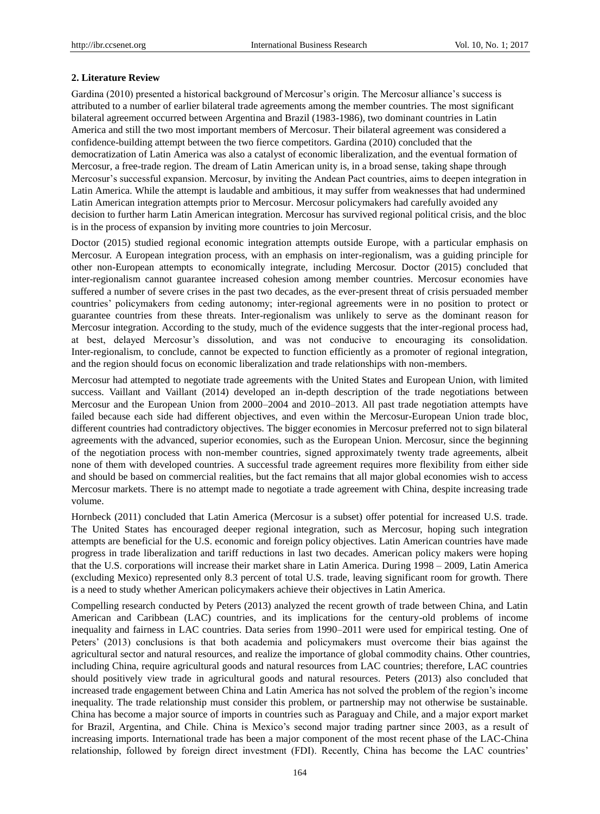## **2. Literature Review**

Gardina (2010) presented a historical background of Mercosur's origin. The Mercosur alliance's success is attributed to a number of earlier bilateral trade agreements among the member countries. The most significant bilateral agreement occurred between Argentina and Brazil (1983-1986), two dominant countries in Latin America and still the two most important members of Mercosur. Their bilateral agreement was considered a confidence-building attempt between the two fierce competitors. Gardina (2010) concluded that the democratization of Latin America was also a catalyst of economic liberalization, and the eventual formation of Mercosur, a free-trade region. The dream of Latin American unity is, in a broad sense, taking shape through Mercosur's successful expansion. Mercosur, by inviting the Andean Pact countries, aims to deepen integration in Latin America. While the attempt is laudable and ambitious, it may suffer from weaknesses that had undermined Latin American integration attempts prior to Mercosur. Mercosur policymakers had carefully avoided any decision to further harm Latin American integration. Mercosur has survived regional political crisis, and the bloc is in the process of expansion by inviting more countries to join Mercosur.

Doctor (2015) studied regional economic integration attempts outside Europe, with a particular emphasis on Mercosur. A European integration process, with an emphasis on inter-regionalism, was a guiding principle for other non-European attempts to economically integrate, including Mercosur. Doctor (2015) concluded that inter-regionalism cannot guarantee increased cohesion among member countries. Mercosur economies have suffered a number of severe crises in the past two decades, as the ever-present threat of crisis persuaded member countries' policymakers from ceding autonomy; inter-regional agreements were in no position to protect or guarantee countries from these threats. Inter-regionalism was unlikely to serve as the dominant reason for Mercosur integration. According to the study, much of the evidence suggests that the inter-regional process had, at best, delayed Mercosur's dissolution, and was not conducive to encouraging its consolidation. Inter-regionalism, to conclude, cannot be expected to function efficiently as a promoter of regional integration, and the region should focus on economic liberalization and trade relationships with non-members.

Mercosur had attempted to negotiate trade agreements with the United States and European Union, with limited success. Vaillant and Vaillant (2014) developed an in-depth description of the trade negotiations between Mercosur and the European Union from 2000–2004 and 2010–2013. All past trade negotiation attempts have failed because each side had different objectives, and even within the Mercosur-European Union trade bloc, different countries had contradictory objectives. The bigger economies in Mercosur preferred not to sign bilateral agreements with the advanced, superior economies, such as the European Union. Mercosur, since the beginning of the negotiation process with non-member countries, signed approximately twenty trade agreements, albeit none of them with developed countries. A successful trade agreement requires more flexibility from either side and should be based on commercial realities, but the fact remains that all major global economies wish to access Mercosur markets. There is no attempt made to negotiate a trade agreement with China, despite increasing trade volume.

Hornbeck (2011) concluded that Latin America (Mercosur is a subset) offer potential for increased U.S. trade. The United States has encouraged deeper regional integration, such as Mercosur, hoping such integration attempts are beneficial for the U.S. economic and foreign policy objectives. Latin American countries have made progress in trade liberalization and tariff reductions in last two decades. American policy makers were hoping that the U.S. corporations will increase their market share in Latin America. During 1998 – 2009, Latin America (excluding Mexico) represented only 8.3 percent of total U.S. trade, leaving significant room for growth. There is a need to study whether American policymakers achieve their objectives in Latin America.

Compelling research conducted by Peters (2013) analyzed the recent growth of trade between China, and Latin American and Caribbean (LAC) countries, and its implications for the century-old problems of income inequality and fairness in LAC countries. Data series from 1990–2011 were used for empirical testing. One of Peters' (2013) conclusions is that both academia and policymakers must overcome their bias against the agricultural sector and natural resources, and realize the importance of global commodity chains. Other countries, including China, require agricultural goods and natural resources from LAC countries; therefore, LAC countries should positively view trade in agricultural goods and natural resources. Peters (2013) also concluded that increased trade engagement between China and Latin America has not solved the problem of the region's income inequality. The trade relationship must consider this problem, or partnership may not otherwise be sustainable. China has become a major source of imports in countries such as Paraguay and Chile, and a major export market for Brazil, Argentina, and Chile. China is Mexico's second major trading partner since 2003, as a result of increasing imports. International trade has been a major component of the most recent phase of the LAC-China relationship, followed by foreign direct investment (FDI). Recently, China has become the LAC countries'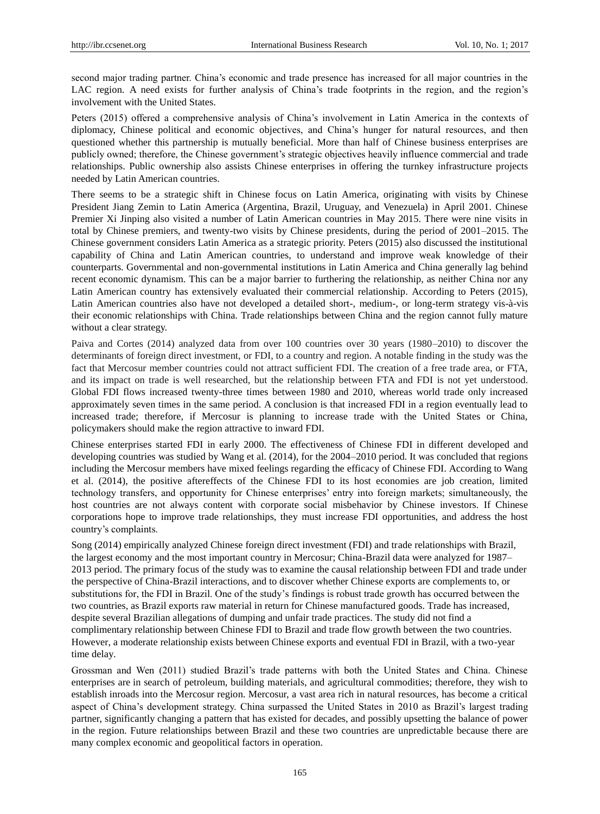second major trading partner. China's economic and trade presence has increased for all major countries in the LAC region. A need exists for further analysis of China's trade footprints in the region, and the region's involvement with the United States.

Peters (2015) offered a comprehensive analysis of China's involvement in Latin America in the contexts of diplomacy, Chinese political and economic objectives, and China's hunger for natural resources, and then questioned whether this partnership is mutually beneficial. More than half of Chinese business enterprises are publicly owned; therefore, the Chinese government's strategic objectives heavily influence commercial and trade relationships. Public ownership also assists Chinese enterprises in offering the turnkey infrastructure projects needed by Latin American countries.

There seems to be a strategic shift in Chinese focus on Latin America, originating with visits by Chinese President Jiang Zemin to Latin America (Argentina, Brazil, Uruguay, and Venezuela) in April 2001. Chinese Premier Xi Jinping also visited a number of Latin American countries in May 2015. There were nine visits in total by Chinese premiers, and twenty-two visits by Chinese presidents, during the period of 2001–2015. The Chinese government considers Latin America as a strategic priority. Peters (2015) also discussed the institutional capability of China and Latin American countries, to understand and improve weak knowledge of their counterparts. Governmental and non-governmental institutions in Latin America and China generally lag behind recent economic dynamism. This can be a major barrier to furthering the relationship, as neither China nor any Latin American country has extensively evaluated their commercial relationship. According to Peters (2015), Latin American countries also have not developed a detailed short-, medium-, or long-term strategy vis-à-vis their economic relationships with China. Trade relationships between China and the region cannot fully mature without a clear strategy.

Paiva and Cortes (2014) analyzed data from over 100 countries over 30 years (1980–2010) to discover the determinants of foreign direct investment, or FDI, to a country and region. A notable finding in the study was the fact that Mercosur member countries could not attract sufficient FDI. The creation of a free trade area, or FTA, and its impact on trade is well researched, but the relationship between FTA and FDI is not yet understood. Global FDI flows increased twenty-three times between 1980 and 2010, whereas world trade only increased approximately seven times in the same period. A conclusion is that increased FDI in a region eventually lead to increased trade; therefore, if Mercosur is planning to increase trade with the United States or China, policymakers should make the region attractive to inward FDI.

Chinese enterprises started FDI in early 2000. The effectiveness of Chinese FDI in different developed and developing countries was studied by Wang et al. (2014), for the 2004–2010 period. It was concluded that regions including the Mercosur members have mixed feelings regarding the efficacy of Chinese FDI. According to Wang et al. (2014), the positive aftereffects of the Chinese FDI to its host economies are job creation, limited technology transfers, and opportunity for Chinese enterprises' entry into foreign markets; simultaneously, the host countries are not always content with corporate social misbehavior by Chinese investors. If Chinese corporations hope to improve trade relationships, they must increase FDI opportunities, and address the host country's complaints.

Song (2014) empirically analyzed Chinese foreign direct investment (FDI) and trade relationships with Brazil, the largest economy and the most important country in Mercosur; China-Brazil data were analyzed for 1987– 2013 period. The primary focus of the study was to examine the causal relationship between FDI and trade under the perspective of China-Brazil interactions, and to discover whether Chinese exports are complements to, or substitutions for, the FDI in Brazil. One of the study's findings is robust trade growth has occurred between the two countries, as Brazil exports raw material in return for Chinese manufactured goods. Trade has increased, despite several Brazilian allegations of dumping and unfair trade practices. The study did not find a complimentary relationship between Chinese FDI to Brazil and trade flow growth between the two countries. However, a moderate relationship exists between Chinese exports and eventual FDI in Brazil, with a two-year time delay.

Grossman and Wen (2011) studied Brazil's trade patterns with both the United States and China. Chinese enterprises are in search of petroleum, building materials, and agricultural commodities; therefore, they wish to establish inroads into the Mercosur region. Mercosur, a vast area rich in natural resources, has become a critical aspect of China's development strategy. China surpassed the United States in 2010 as Brazil's largest trading partner, significantly changing a pattern that has existed for decades, and possibly upsetting the balance of power in the region. Future relationships between Brazil and these two countries are unpredictable because there are many complex economic and geopolitical factors in operation.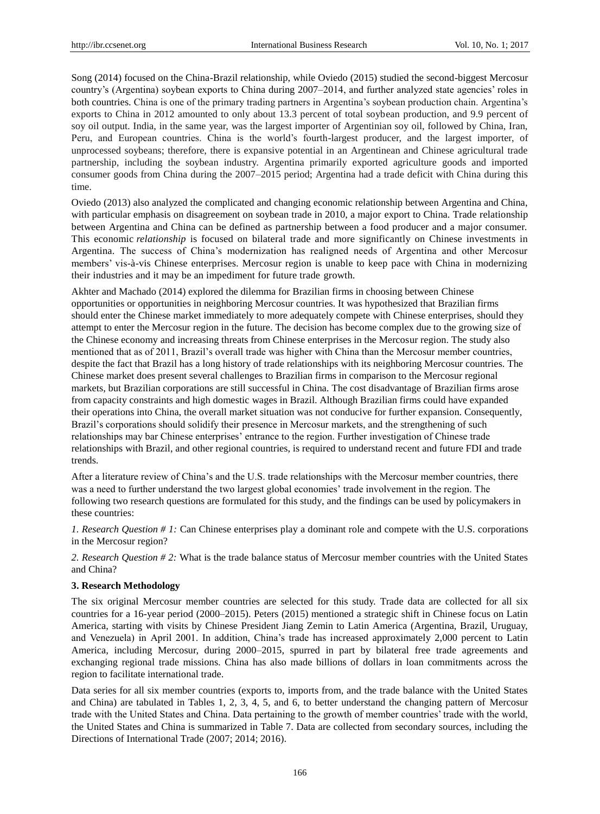Song (2014) focused on the China-Brazil relationship, while Oviedo (2015) studied the second-biggest Mercosur country's (Argentina) soybean exports to China during 2007–2014, and further analyzed state agencies' roles in both countries. China is one of the primary trading partners in Argentina's soybean production chain. Argentina's exports to China in 2012 amounted to only about 13.3 percent of total soybean production, and 9.9 percent of soy oil output. India, in the same year, was the largest importer of Argentinian soy oil, followed by China, Iran, Peru, and European countries. China is the world's fourth-largest producer, and the largest importer, of unprocessed soybeans; therefore, there is expansive potential in an Argentinean and Chinese agricultural trade partnership, including the soybean industry. Argentina primarily exported agriculture goods and imported consumer goods from China during the 2007–2015 period; Argentina had a trade deficit with China during this time.

Oviedo (2013) also analyzed the complicated and changing economic relationship between Argentina and China, with particular emphasis on disagreement on soybean trade in 2010, a major export to China. Trade relationship between Argentina and China can be defined as partnership between a food producer and a major consumer. This economic *relationship* is focused on bilateral trade and more significantly on Chinese investments in Argentina. The success of China's modernization has realigned needs of Argentina and other Mercosur members' vis-à-vis Chinese enterprises. Mercosur region is unable to keep pace with China in modernizing their industries and it may be an impediment for future trade growth.

Akhter and Machado (2014) explored the dilemma for Brazilian firms in choosing between Chinese opportunities or opportunities in neighboring Mercosur countries. It was hypothesized that Brazilian firms should enter the Chinese market immediately to more adequately compete with Chinese enterprises, should they attempt to enter the Mercosur region in the future. The decision has become complex due to the growing size of the Chinese economy and increasing threats from Chinese enterprises in the Mercosur region. The study also mentioned that as of 2011, Brazil's overall trade was higher with China than the Mercosur member countries, despite the fact that Brazil has a long history of trade relationships with its neighboring Mercosur countries. The Chinese market does present several challenges to Brazilian firms in comparison to the Mercosur regional markets, but Brazilian corporations are still successful in China. The cost disadvantage of Brazilian firms arose from capacity constraints and high domestic wages in Brazil. Although Brazilian firms could have expanded their operations into China, the overall market situation was not conducive for further expansion. Consequently, Brazil's corporations should solidify their presence in Mercosur markets, and the strengthening of such relationships may bar Chinese enterprises' entrance to the region. Further investigation of Chinese trade relationships with Brazil, and other regional countries, is required to understand recent and future FDI and trade trends.

After a literature review of China's and the U.S. trade relationships with the Mercosur member countries, there was a need to further understand the two largest global economies' trade involvement in the region. The following two research questions are formulated for this study, and the findings can be used by policymakers in these countries:

*1. Research Question # 1:* Can Chinese enterprises play a dominant role and compete with the U.S. corporations in the Mercosur region?

*2. Research Question # 2:* What is the trade balance status of Mercosur member countries with the United States and China?

## **3. Research Methodology**

The six original Mercosur member countries are selected for this study. Trade data are collected for all six countries for a 16-year period (2000–2015). Peters (2015) mentioned a strategic shift in Chinese focus on Latin America, starting with visits by Chinese President Jiang Zemin to Latin America (Argentina, Brazil, Uruguay, and Venezuela) in April 2001. In addition, China's trade has increased approximately 2,000 percent to Latin America, including Mercosur, during 2000–2015, spurred in part by bilateral free trade agreements and exchanging regional trade missions. China has also made billions of dollars in loan commitments across the region to facilitate international trade.

Data series for all six member countries (exports to, imports from, and the trade balance with the United States and China) are tabulated in Tables 1, 2, 3, 4, 5, and 6, to better understand the changing pattern of Mercosur trade with the United States and China. Data pertaining to the growth of member countries' trade with the world, the United States and China is summarized in Table 7. Data are collected from secondary sources, including the Directions of International Trade (2007; 2014; 2016).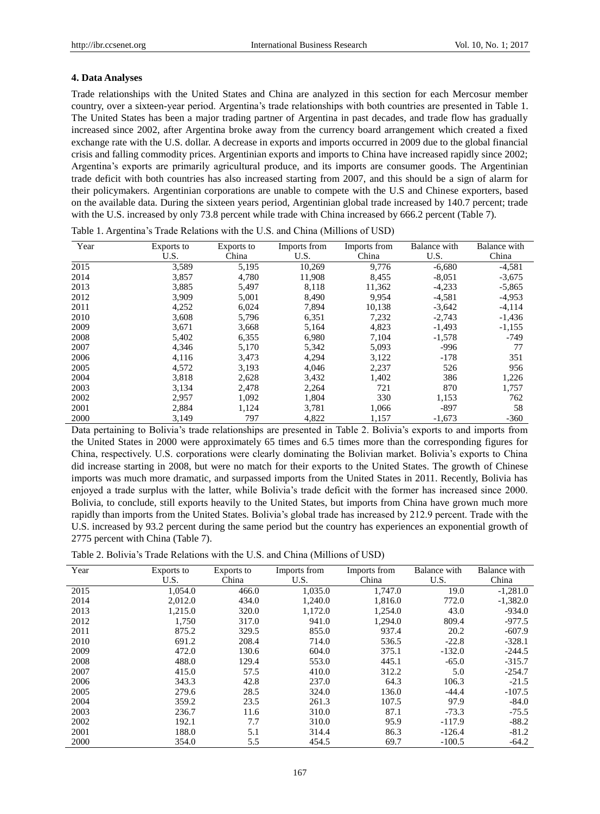## **4. Data Analyses**

Trade relationships with the United States and China are analyzed in this section for each Mercosur member country, over a sixteen-year period. Argentina's trade relationships with both countries are presented in Table 1. The United States has been a major trading partner of Argentina in past decades, and trade flow has gradually increased since 2002, after Argentina broke away from the currency board arrangement which created a fixed exchange rate with the U.S. dollar. A decrease in exports and imports occurred in 2009 due to the global financial crisis and falling commodity prices. Argentinian exports and imports to China have increased rapidly since 2002; Argentina's exports are primarily agricultural produce, and its imports are consumer goods. The Argentinian trade deficit with both countries has also increased starting from 2007, and this should be a sign of alarm for their policymakers. Argentinian corporations are unable to compete with the U.S and Chinese exporters, based on the available data. During the sixteen years period, Argentinian global trade increased by 140.7 percent; trade with the U.S. increased by only 73.8 percent while trade with China increased by 666.2 percent (Table 7).

| Year | Exports to | Exports to | Imports from | Imports from | Balance with | Balance with |
|------|------------|------------|--------------|--------------|--------------|--------------|
|      | U.S.       | China      | U.S.         | China        | U.S.         | China        |
| 2015 | 3.589      | 5.195      | 10,269       | 9.776        | $-6,680$     | $-4.581$     |
| 2014 | 3,857      | 4,780      | 11,908       | 8,455        | $-8,051$     | $-3,675$     |
| 2013 | 3,885      | 5,497      | 8,118        | 11,362       | $-4,233$     | $-5,865$     |
| 2012 | 3.909      | 5,001      | 8,490        | 9.954        | $-4,581$     | $-4,953$     |
| 2011 | 4,252      | 6,024      | 7,894        | 10,138       | $-3,642$     | $-4,114$     |
| 2010 | 3,608      | 5,796      | 6,351        | 7,232        | $-2,743$     | $-1,436$     |
| 2009 | 3.671      | 3,668      | 5,164        | 4,823        | $-1,493$     | $-1,155$     |
| 2008 | 5,402      | 6,355      | 6,980        | 7.104        | $-1,578$     | $-749$       |
| 2007 | 4,346      | 5,170      | 5,342        | 5,093        | $-996$       | 77           |
| 2006 | 4,116      | 3,473      | 4,294        | 3,122        | $-178$       | 351          |
| 2005 | 4,572      | 3,193      | 4,046        | 2,237        | 526          | 956          |
| 2004 | 3,818      | 2,628      | 3,432        | 1,402        | 386          | 1,226        |
| 2003 | 3.134      | 2.478      | 2,264        | 721          | 870          | 1,757        |
| 2002 | 2.957      | 1,092      | 1,804        | 330          | 1,153        | 762          |
| 2001 | 2.884      | 1,124      | 3,781        | 1,066        | $-897$       | 58           |
| 2000 | 3.149      | 797        | 4,822        | 1,157        | $-1,673$     | $-360$       |

Table 1. Argentina's Trade Relations with the U.S. and China (Millions of USD)

Data pertaining to Bolivia's trade relationships are presented in Table 2. Bolivia's exports to and imports from the United States in 2000 were approximately 65 times and 6.5 times more than the corresponding figures for China, respectively. U.S. corporations were clearly dominating the Bolivian market. Bolivia's exports to China did increase starting in 2008, but were no match for their exports to the United States. The growth of Chinese imports was much more dramatic, and surpassed imports from the United States in 2011. Recently, Bolivia has enjoyed a trade surplus with the latter, while Bolivia's trade deficit with the former has increased since 2000. Bolivia, to conclude, still exports heavily to the United States, but imports from China have grown much more rapidly than imports from the United States. Bolivia's global trade has increased by 212.9 percent. Trade with the U.S. increased by 93.2 percent during the same period but the country has experiences an exponential growth of 2775 percent with China (Table 7).

Table 2. Bolivia's Trade Relations with the U.S. and China (Millions of USD)

| Year |            |            |              |              | Balance with | Balance with |
|------|------------|------------|--------------|--------------|--------------|--------------|
|      | Exports to | Exports to | Imports from | Imports from |              |              |
|      | U.S.       | China      | U.S.         | China        | U.S.         | China        |
| 2015 | 1,054.0    | 466.0      | 1,035.0      | 1,747.0      | 19.0         | $-1,281.0$   |
| 2014 | 2,012.0    | 434.0      | 1,240.0      | 1,816.0      | 772.0        | $-1,382.0$   |
| 2013 | 1,215.0    | 320.0      | 1,172.0      | 1,254.0      | 43.0         | $-934.0$     |
| 2012 | 1,750      | 317.0      | 941.0        | 1,294.0      | 809.4        | $-977.5$     |
| 2011 | 875.2      | 329.5      | 855.0        | 937.4        | 20.2         | $-607.9$     |
| 2010 | 691.2      | 208.4      | 714.0        | 536.5        | $-22.8$      | $-328.1$     |
| 2009 | 472.0      | 130.6      | 604.0        | 375.1        | $-132.0$     | $-244.5$     |
| 2008 | 488.0      | 129.4      | 553.0        | 445.1        | $-65.0$      | $-315.7$     |
| 2007 | 415.0      | 57.5       | 410.0        | 312.2        | 5.0          | $-254.7$     |
| 2006 | 343.3      | 42.8       | 237.0        | 64.3         | 106.3        | $-21.5$      |
| 2005 | 279.6      | 28.5       | 324.0        | 136.0        | $-44.4$      | $-107.5$     |
| 2004 | 359.2      | 23.5       | 261.3        | 107.5        | 97.9         | $-84.0$      |
| 2003 | 236.7      | 11.6       | 310.0        | 87.1         | $-73.3$      | $-75.5$      |
| 2002 | 192.1      | 7.7        | 310.0        | 95.9         | $-117.9$     | $-88.2$      |
| 2001 | 188.0      | 5.1        | 314.4        | 86.3         | $-126.4$     | $-81.2$      |
| 2000 | 354.0      | 5.5        | 454.5        | 69.7         | $-100.5$     | $-64.2$      |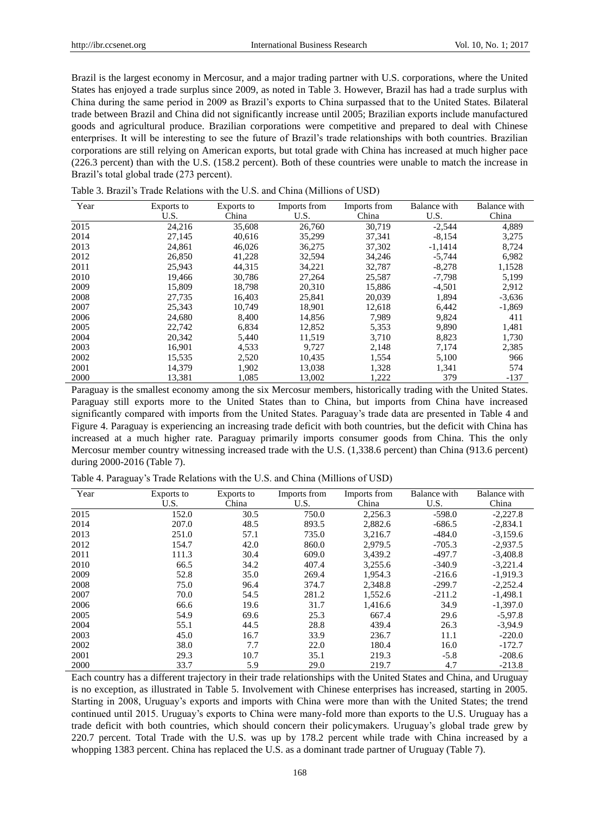Brazil is the largest economy in Mercosur, and a major trading partner with U.S. corporations, where the United States has enjoyed a trade surplus since 2009, as noted in Table 3. However, Brazil has had a trade surplus with China during the same period in 2009 as Brazil's exports to China surpassed that to the United States. Bilateral trade between Brazil and China did not significantly increase until 2005; Brazilian exports include manufactured goods and agricultural produce. Brazilian corporations were competitive and prepared to deal with Chinese enterprises. It will be interesting to see the future of Brazil's trade relationships with both countries. Brazilian corporations are still relying on American exports, but total grade with China has increased at much higher pace (226.3 percent) than with the U.S. (158.2 percent). Both of these countries were unable to match the increase in Brazil's total global trade (273 percent).

| Year | Exports to | Exports to | Imports from | Imports from | Balance with | Balance with |
|------|------------|------------|--------------|--------------|--------------|--------------|
|      | U.S.       | China      | U.S.         | China        | U.S.         | China        |
| 2015 | 24,216     | 35,608     | 26,760       | 30,719       | $-2,544$     | 4,889        |
| 2014 | 27,145     | 40,616     | 35,299       | 37,341       | $-8,154$     | 3,275        |
| 2013 | 24,861     | 46,026     | 36,275       | 37,302       | $-1,1414$    | 8,724        |
| 2012 | 26,850     | 41,228     | 32,594       | 34,246       | $-5,744$     | 6,982        |
| 2011 | 25,943     | 44.315     | 34.221       | 32.787       | $-8,278$     | 1,1528       |
| 2010 | 19,466     | 30,786     | 27,264       | 25,587       | $-7,798$     | 5,199        |
| 2009 | 15,809     | 18,798     | 20,310       | 15,886       | $-4,501$     | 2,912        |
| 2008 | 27,735     | 16,403     | 25,841       | 20,039       | 1,894        | $-3,636$     |
| 2007 | 25,343     | 10,749     | 18,901       | 12,618       | 6,442        | $-1,869$     |
| 2006 | 24,680     | 8,400      | 14,856       | 7,989        | 9,824        | 411          |
| 2005 | 22,742     | 6,834      | 12,852       | 5,353        | 9,890        | 1,481        |
| 2004 | 20,342     | 5,440      | 11,519       | 3,710        | 8,823        | 1,730        |
| 2003 | 16.901     | 4,533      | 9.727        | 2,148        | 7.174        | 2,385        |
| 2002 | 15.535     | 2,520      | 10.435       | 1,554        | 5,100        | 966          |
| 2001 | 14.379     | 1,902      | 13.038       | 1.328        | 1,341        | 574          |
| 2000 | 13,381     | 1,085      | 13,002       | 1,222        | 379          | $-137$       |

Table 3. Brazil's Trade Relations with the U.S. and China (Millions of USD)

Paraguay is the smallest economy among the six Mercosur members, historically trading with the United States. Paraguay still exports more to the United States than to China, but imports from China have increased significantly compared with imports from the United States. Paraguay's trade data are presented in Table 4 and Figure 4. Paraguay is experiencing an increasing trade deficit with both countries, but the deficit with China has increased at a much higher rate. Paraguay primarily imports consumer goods from China. This the only Mercosur member country witnessing increased trade with the U.S. (1,338.6 percent) than China (913.6 percent) during 2000-2016 (Table 7).

Table 4. Paraguay's Trade Relations with the U.S. and China (Millions of USD)

| Year | Exports to | Exports to | Imports from | Imports from | Balance with | Balance with |
|------|------------|------------|--------------|--------------|--------------|--------------|
|      | U.S.       | China      | U.S.         | China        | U.S.         | China        |
| 2015 | 152.0      | 30.5       | 750.0        | 2,256.3      | $-598.0$     | $-2,227.8$   |
| 2014 | 207.0      | 48.5       | 893.5        | 2,882.6      | $-686.5$     | $-2,834.1$   |
| 2013 | 251.0      | 57.1       | 735.0        | 3,216.7      | $-484.0$     | $-3,159.6$   |
| 2012 | 154.7      | 42.0       | 860.0        | 2.979.5      | $-705.3$     | $-2,937.5$   |
| 2011 | 111.3      | 30.4       | 609.0        | 3,439.2      | $-497.7$     | $-3,408.8$   |
| 2010 | 66.5       | 34.2       | 407.4        | 3,255.6      | $-340.9$     | $-3,221.4$   |
| 2009 | 52.8       | 35.0       | 269.4        | 1,954.3      | $-216.6$     | $-1,919.3$   |
| 2008 | 75.0       | 96.4       | 374.7        | 2,348.8      | $-299.7$     | $-2,252.4$   |
| 2007 | 70.0       | 54.5       | 281.2        | 1,552.6      | $-211.2$     | $-1,498.1$   |
| 2006 | 66.6       | 19.6       | 31.7         | 1,416.6      | 34.9         | $-1,397.0$   |
| 2005 | 54.9       | 69.6       | 25.3         | 667.4        | 29.6         | $-5,97.8$    |
| 2004 | 55.1       | 44.5       | 28.8         | 439.4        | 26.3         | $-3,94.9$    |
| 2003 | 45.0       | 16.7       | 33.9         | 236.7        | 11.1         | $-220.0$     |
| 2002 | 38.0       | 7.7        | 22.0         | 180.4        | 16.0         | $-172.7$     |
| 2001 | 29.3       | 10.7       | 35.1         | 219.3        | $-5.8$       | $-208.6$     |
| 2000 | 33.7       | 5.9        | 29.0         | 219.7        | 4.7          | $-213.8$     |

Each country has a different trajectory in their trade relationships with the United States and China, and Uruguay is no exception, as illustrated in Table 5. Involvement with Chinese enterprises has increased, starting in 2005. Starting in 2008, Uruguay's exports and imports with China were more than with the United States; the trend continued until 2015. Uruguay's exports to China were many-fold more than exports to the U.S. Uruguay has a trade deficit with both countries, which should concern their policymakers. Uruguay's global trade grew by 220.7 percent. Total Trade with the U.S. was up by 178.2 percent while trade with China increased by a whopping 1383 percent. China has replaced the U.S. as a dominant trade partner of Uruguay (Table 7).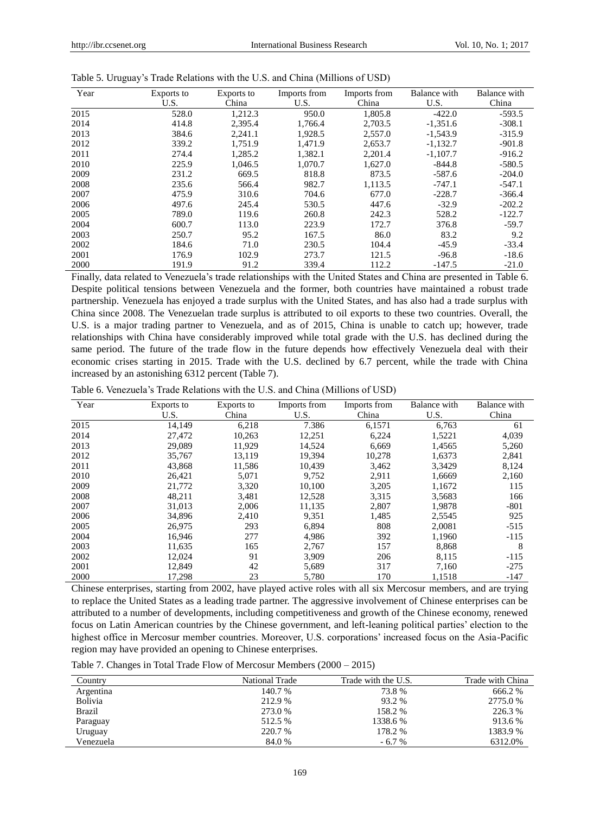| Year | Exports to | Exports to | Imports from | Imports from | Balance with | Balance with |
|------|------------|------------|--------------|--------------|--------------|--------------|
|      | U.S.       | China      | U.S.         | China        | U.S.         | China        |
| 2015 | 528.0      | 1,212.3    | 950.0        | 1,805.8      | $-422.0$     | $-593.5$     |
| 2014 | 414.8      | 2,395.4    | 1.766.4      | 2.703.5      | $-1,351.6$   | $-308.1$     |
| 2013 | 384.6      | 2.241.1    | 1,928.5      | 2,557.0      | $-1,543.9$   | $-315.9$     |
| 2012 | 339.2      | 1,751.9    | 1,471.9      | 2,653.7      | $-1,132.7$   | $-901.8$     |
| 2011 | 274.4      | 1,285.2    | 1,382.1      | 2,201.4      | $-1,107.7$   | $-916.2$     |
| 2010 | 225.9      | 1,046.5    | 1,070.7      | 1,627.0      | $-844.8$     | $-580.5$     |
| 2009 | 231.2      | 669.5      | 818.8        | 873.5        | $-587.6$     | $-204.0$     |
| 2008 | 235.6      | 566.4      | 982.7        | 1,113.5      | $-747.1$     | $-547.1$     |
| 2007 | 475.9      | 310.6      | 704.6        | 677.0        | $-228.7$     | $-366.4$     |
| 2006 | 497.6      | 245.4      | 530.5        | 447.6        | $-32.9$      | $-202.2$     |
| 2005 | 789.0      | 119.6      | 260.8        | 242.3        | 528.2        | $-122.7$     |
| 2004 | 600.7      | 113.0      | 223.9        | 172.7        | 376.8        | $-59.7$      |
| 2003 | 250.7      | 95.2       | 167.5        | 86.0         | 83.2         | 9.2          |
| 2002 | 184.6      | 71.0       | 230.5        | 104.4        | $-45.9$      | $-33.4$      |
| 2001 | 176.9      | 102.9      | 273.7        | 121.5        | $-96.8$      | $-18.6$      |
| 2000 | 191.9      | 91.2       | 339.4        | 112.2        | $-147.5$     | $-21.0$      |

Finally, data related to Venezuela's trade relationships with the United States and China are presented in Table 6. Despite political tensions between Venezuela and the former, both countries have maintained a robust trade partnership. Venezuela has enjoyed a trade surplus with the United States, and has also had a trade surplus with China since 2008. The Venezuelan trade surplus is attributed to oil exports to these two countries. Overall, the U.S. is a major trading partner to Venezuela, and as of 2015, China is unable to catch up; however, trade relationships with China have considerably improved while total grade with the U.S. has declined during the same period. The future of the trade flow in the future depends how effectively Venezuela deal with their economic crises starting in 2015. Trade with the U.S. declined by 6.7 percent, while the trade with China increased by an astonishing 6312 percent (Table 7).

Table 6. Venezuela's Trade Relations with the U.S. and China (Millions of USD)

| Year | Exports to | Exports to | Imports from | Imports from | Balance with | Balance with |
|------|------------|------------|--------------|--------------|--------------|--------------|
|      | U.S.       | China      | U.S.         | China        | U.S.         | China        |
| 2015 | 14.149     | 6,218      | 7.386        | 6,1571       | 6,763        | 61           |
| 2014 | 27,472     | 10,263     | 12,251       | 6,224        | 1,5221       | 4,039        |
| 2013 | 29,089     | 11,929     | 14,524       | 6,669        | 1,4565       | 5,260        |
| 2012 | 35,767     | 13,119     | 19.394       | 10,278       | 1.6373       | 2,841        |
| 2011 | 43,868     | 11,586     | 10,439       | 3,462        | 3,3429       | 8,124        |
| 2010 | 26,421     | 5,071      | 9,752        | 2,911        | 1,6669       | 2,160        |
| 2009 | 21,772     | 3,320      | 10,100       | 3,205        | 1,1672       | 115          |
| 2008 | 48,211     | 3,481      | 12,528       | 3,315        | 3,5683       | 166          |
| 2007 | 31,013     | 2,006      | 11,135       | 2,807        | 1,9878       | $-801$       |
| 2006 | 34,896     | 2.410      | 9,351        | 1,485        | 2,5545       | 925          |
| 2005 | 26,975     | 293        | 6,894        | 808          | 2,0081       | $-515$       |
| 2004 | 16,946     | 277        | 4,986        | 392          | 1,1960       | $-115$       |
| 2003 | 11.635     | 165        | 2,767        | 157          | 8,868        | 8            |
| 2002 | 12.024     | 91         | 3,909        | 206          | 8,115        | $-115$       |
| 2001 | 12.849     | 42         | 5,689        | 317          | 7,160        | $-275$       |
| 2000 | 17.298     | 23         | 5.780        | 170          | 1.1518       | $-147$       |

Chinese enterprises, starting from 2002, have played active roles with all six Mercosur members, and are trying to replace the United States as a leading trade partner. The aggressive involvement of Chinese enterprises can be attributed to a number of developments, including competitiveness and growth of the Chinese economy, renewed focus on Latin American countries by the Chinese government, and left-leaning political parties' election to the highest office in Mercosur member countries. Moreover, U.S. corporations' increased focus on the Asia-Pacific region may have provided an opening to Chinese enterprises.

|  | Table 7. Changes in Total Trade Flow of Mercosur Members (2000 – 2015) |  |  |  |
|--|------------------------------------------------------------------------|--|--|--|
|  |                                                                        |  |  |  |

| Country        | <b>National Trade</b> | Trade with the U.S. | Trade with China |
|----------------|-----------------------|---------------------|------------------|
| Argentina      | 140.7 %               | 73.8 %              | 666.2 %          |
| <b>Bolivia</b> | 212.9 %               | 93.2 %              | 2775.0 %         |
| <b>Brazil</b>  | 273.0 %               | 158.2 %             | 226.3 %          |
| Paraguay       | 512.5 %               | 1338.6 %            | 913.6 %          |
| Uruguay        | 220.7 %               | 178.2 %             | 1383.9 %         |
| Venezuela      | 84.0 %                | $-6.7%$             | 6312.0%          |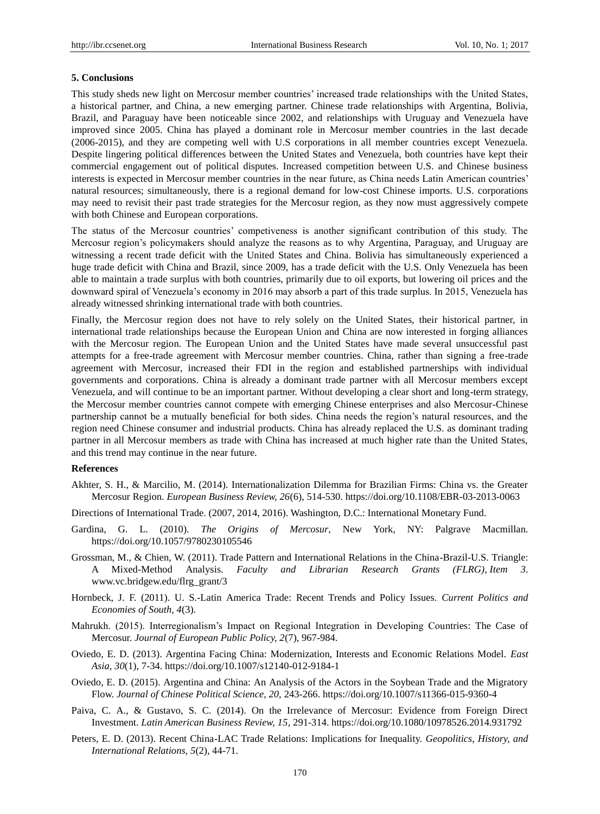## **5. Conclusions**

This study sheds new light on Mercosur member countries' increased trade relationships with the United States, a historical partner, and China, a new emerging partner. Chinese trade relationships with Argentina, Bolivia, Brazil, and Paraguay have been noticeable since 2002, and relationships with Uruguay and Venezuela have improved since 2005. China has played a dominant role in Mercosur member countries in the last decade (2006-2015), and they are competing well with U.S corporations in all member countries except Venezuela. Despite lingering political differences between the United States and Venezuela, both countries have kept their commercial engagement out of political disputes. Increased competition between U.S. and Chinese business interests is expected in Mercosur member countries in the near future, as China needs Latin American countries' natural resources; simultaneously, there is a regional demand for low-cost Chinese imports. U.S. corporations may need to revisit their past trade strategies for the Mercosur region, as they now must aggressively compete with both Chinese and European corporations.

The status of the Mercosur countries' competiveness is another significant contribution of this study. The Mercosur region's policymakers should analyze the reasons as to why Argentina, Paraguay, and Uruguay are witnessing a recent trade deficit with the United States and China. Bolivia has simultaneously experienced a huge trade deficit with China and Brazil, since 2009, has a trade deficit with the U.S. Only Venezuela has been able to maintain a trade surplus with both countries, primarily due to oil exports, but lowering oil prices and the downward spiral of Venezuela's economy in 2016 may absorb a part of this trade surplus. In 2015, Venezuela has already witnessed shrinking international trade with both countries.

Finally, the Mercosur region does not have to rely solely on the United States, their historical partner, in international trade relationships because the European Union and China are now interested in forging alliances with the Mercosur region. The European Union and the United States have made several unsuccessful past attempts for a free-trade agreement with Mercosur member countries. China, rather than signing a free-trade agreement with Mercosur, increased their FDI in the region and established partnerships with individual governments and corporations. China is already a dominant trade partner with all Mercosur members except Venezuela, and will continue to be an important partner. Without developing a clear short and long-term strategy, the Mercosur member countries cannot compete with emerging Chinese enterprises and also Mercosur-Chinese partnership cannot be a mutually beneficial for both sides. China needs the region's natural resources, and the region need Chinese consumer and industrial products. China has already replaced the U.S. as dominant trading partner in all Mercosur members as trade with China has increased at much higher rate than the United States, and this trend may continue in the near future.

#### **References**

- Akhter, S. H., & Marcilio, M. (2014). Internationalization Dilemma for Brazilian Firms: China vs. the Greater Mercosur Region. *European Business Review, 26*(6), 514-530.<https://doi.org/10.1108/EBR-03-2013-0063>
- Directions of International Trade. (2007, 2014, 2016). Washington, D.C.: International Monetary Fund.
- Gardina, G. L. (2010). *The Origins of Mercosur*, New York, NY: Palgrave Macmillan. <https://doi.org/10.1057/9780230105546>
- Grossman, M., & Chien, W. (2011). Trade Pattern and International Relations in the China-Brazil-U.S. Triangle: A Mixed-Method Analysis. *Faculty and Librarian Research Grants (FLRG)*, *Item 3.*  www.vc.bridgew.edu/flrg\_grant/3
- Hornbeck, J. F. (2011). U. S.-Latin America Trade: Recent Trends and Policy Issues. *Current Politics and Economies of South, 4*(3).
- Mahrukh. (2015). Interregionalism's Impact on Regional Integration in Developing Countries: The Case of Mercosur. *Journal of European Public Policy, 2*(7), 967-984.
- Oviedo, E. D. (2013). Argentina Facing China: Modernization, Interests and Economic Relations Model. *East Asia, 30*(1), 7-34[. https://doi.org/10.1007/s12140-012-9184-1](https://doi.org/10.1007/s12140-012-9184-1)
- Oviedo, E. D. (2015). Argentina and China: An Analysis of the Actors in the Soybean Trade and the Migratory Flow. *Journal of Chinese Political Science, 20,* 243-266[. https://doi.org/10.1007/s11366-015-9360-4](https://doi.org/10.1007/s11366-015-9360-4)
- Paiva, C. A., & Gustavo, S. C. (2014). On the Irrelevance of Mercosur: Evidence from Foreign Direct Investment. *Latin American Business Review, 15,* 291-314.<https://doi.org/10.1080/10978526.2014.931792>
- Peters, E. D. (2013). Recent China-LAC Trade Relations: Implications for Inequality. *Geopolitics, History, and International Relations, 5*(2), 44-71.